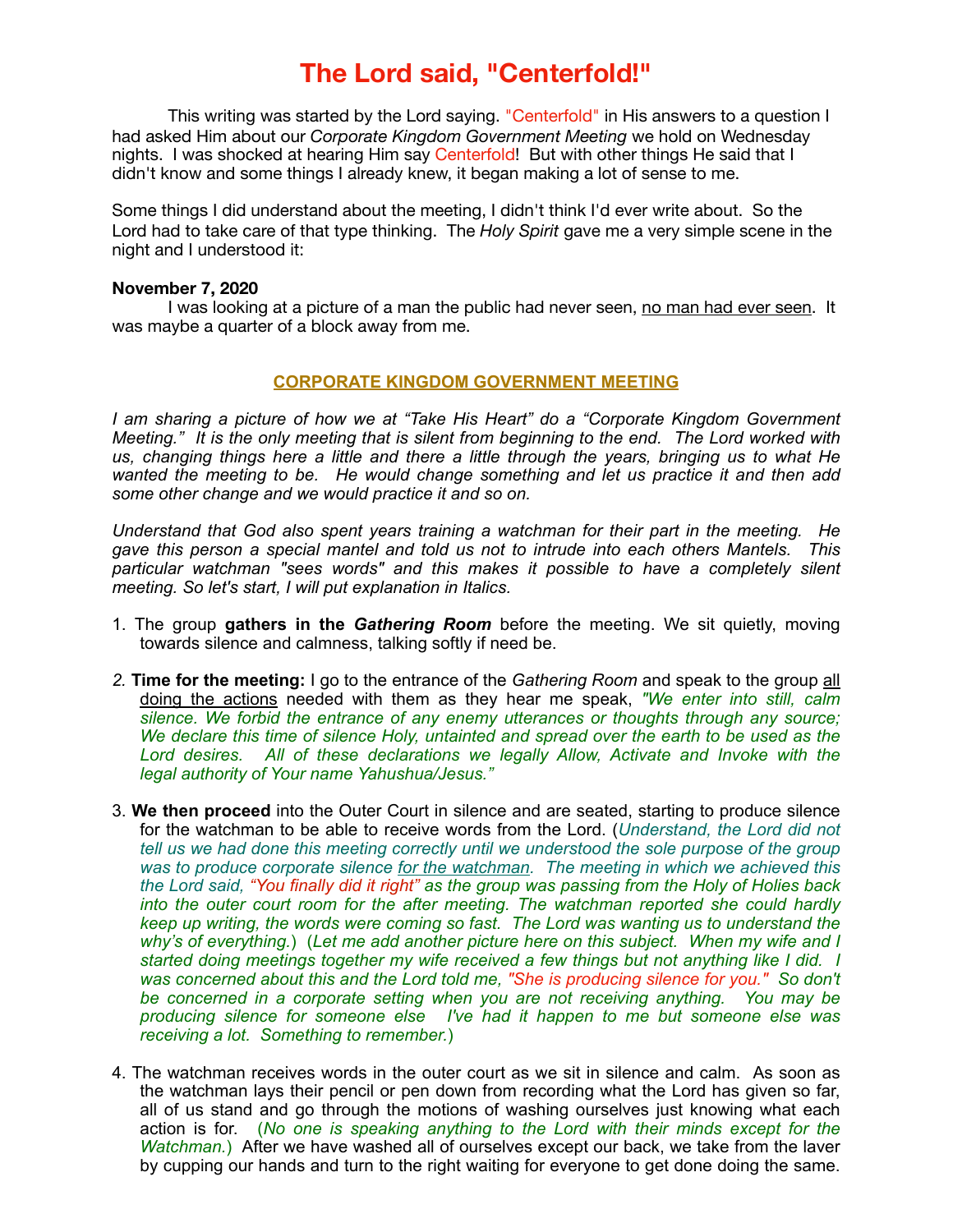## **The Lord said, "Centerfold!"**

This writing was started by the Lord saying. "Centerfold" in His answers to a question I had asked Him about our *Corporate Kingdom Government Meeting* we hold on Wednesday nights. I was shocked at hearing Him say Centerfold! But with other things He said that I didn't know and some things I already knew, it began making a lot of sense to me.

Some things I did understand about the meeting, I didn't think I'd ever write about. So the Lord had to take care of that type thinking. The *Holy Spirit* gave me a very simple scene in the night and I understood it:

## **November 7, 2020**

I was looking at a picture of a man the public had never seen, no man had ever seen. It was maybe a quarter of a block away from me.

## **CORPORATE KINGDOM GOVERNMENT MEETING**

*I am sharing a picture of how we at "Take His Heart" do a "Corporate Kingdom Government Meeting." It is the only meeting that is silent from beginning to the end. The Lord worked with us, changing things here a little and there a little through the years, bringing us to what He wanted the meeting to be. He would change something and let us practice it and then add some other change and we would practice it and so on.* 

*Understand that God also spent years training a watchman for their part in the meeting. He gave this person a special mantel and told us not to intrude into each others Mantels. This particular watchman "sees words" and this makes it possible to have a completely silent meeting. So let's start, I will put explanation in Italics.* 

- 1. The group **gathers in the** *Gathering Room* before the meeting. We sit quietly, moving towards silence and calmness, talking softly if need be.
- *2.* **Time for the meeting:** I go to the entrance of the *Gathering Room* and speak to the group all doing the actions needed with them as they hear me speak, *"We enter into still, calm silence. We forbid the entrance of any enemy utterances or thoughts through any source; We declare this time of silence Holy, untainted and spread over the earth to be used as the*  Lord desires. All of these declarations we legally Allow, Activate and Invoke with the *legal authority of Your name Yahushua/Jesus."*
- 3. **We then proceed** into the Outer Court in silence and are seated, starting to produce silence for the watchman to be able to receive words from the Lord. (*Understand, the Lord did not tell us we had done this meeting correctly until we understood the sole purpose of the group was to produce corporate silence for the watchman. The meeting in which we achieved this the Lord said, "You finally did it right" as the group was passing from the Holy of Holies back into the outer court room for the after meeting. The watchman reported she could hardly keep up writing, the words were coming so fast. The Lord was wanting us to understand the why's of everything.*) (*Let me add another picture here on this subject. When my wife and I started doing meetings together my wife received a few things but not anything like I did. I was concerned about this and the Lord told me, "She is producing silence for you." So don't be concerned in a corporate setting when you are not receiving anything. You may be producing silence for someone else I've had it happen to me but someone else was receiving a lot. Something to remember.*)
- 4. The watchman receives words in the outer court as we sit in silence and calm. As soon as the watchman lays their pencil or pen down from recording what the Lord has given so far, all of us stand and go through the motions of washing ourselves just knowing what each action is for. (*No one is speaking anything to the Lord with their minds except for the Watchman.*) After we have washed all of ourselves except our back, we take from the laver by cupping our hands and turn to the right waiting for everyone to get done doing the same.